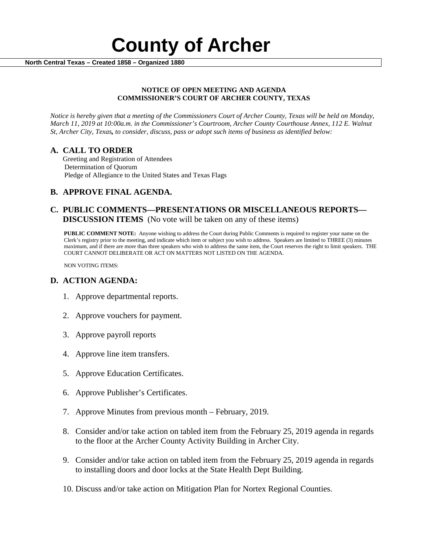

### **NOTICE OF OPEN MEETING AND AGENDA COMMISSIONER'S COURT OF ARCHER COUNTY, TEXAS**

*Notice is hereby given that a meeting of the Commissioners Court of Archer County, Texas will be held on Monday, March 11, 2019 at 10:00a.m. in the Commissioner's Courtroom, Archer County Courthouse Annex, 112 E. Walnut St, Archer City, Texas, to consider, discuss, pass or adopt such items of business as identified below:*

**A. CALL TO ORDER** Greeting and Registration of Attendees Determination of Quorum Pledge of Allegiance to the United States and Texas Flags

# **B. APPROVE FINAL AGENDA.**

# **C. PUBLIC COMMENTS—PRESENTATIONS OR MISCELLANEOUS REPORTS— DISCUSSION ITEMS** (No vote will be taken on any of these items)

**PUBLIC COMMENT NOTE:** Anyone wishing to address the Court during Public Comments is required to register your name on the Clerk's registry prior to the meeting, and indicate which item or subject you wish to address. Speakers are limited to THREE (3) minutes maximum, and if there are more than three speakers who wish to address the same item, the Court reserves the right to limit speakers. THE COURT CANNOT DELIBERATE OR ACT ON MATTERS NOT LISTED ON THE AGENDA.

NON VOTING ITEMS:

## **D. ACTION AGENDA:**

- 1. Approve departmental reports.
- 2. Approve vouchers for payment.
- 3. Approve payroll reports
- 4. Approve line item transfers.
- 5. Approve Education Certificates.
- 6. Approve Publisher's Certificates.
- 7. Approve Minutes from previous month February, 2019.
- 8. Consider and/or take action on tabled item from the February 25, 2019 agenda in regards to the floor at the Archer County Activity Building in Archer City.
- 9. Consider and/or take action on tabled item from the February 25, 2019 agenda in regards to installing doors and door locks at the State Health Dept Building.
- 10. Discuss and/or take action on Mitigation Plan for Nortex Regional Counties.